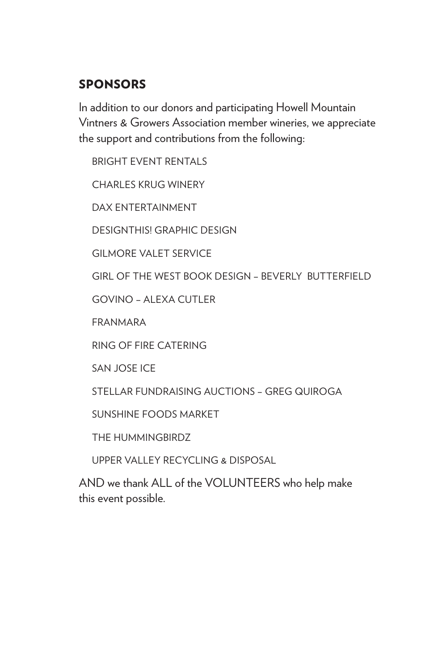#### SPONSORS

In addition to our donors and participating Howell Mountain Vintners & Growers Association member wineries, we appreciate the support and contributions from the following:

BRIGHT EVENT RENTALS

CHARLES KRUG WINERY

DAX ENTERTAINMENT

DESIGNTHIS! GRAPHIC DESIGN

GILMORE VALET SERVICE

GIRL OF THE WEST BOOK DESIGN – BEVERLY BUTTERFIELD

GOVINO – ALEXA CUTLER

FRANMARA

RING OF FIRE CATERING

SAN JOSE ICE

STELLAR FUNDRAISING AUCTIONS – GREG QUIROGA

SUNSHINE FOODS MARKET

THE HUMMINGBIRDZ

UPPER VALLEY RECYCLING & DISPOSAL

AND we thank ALL of the VOLUNTEERS who help make this event possible.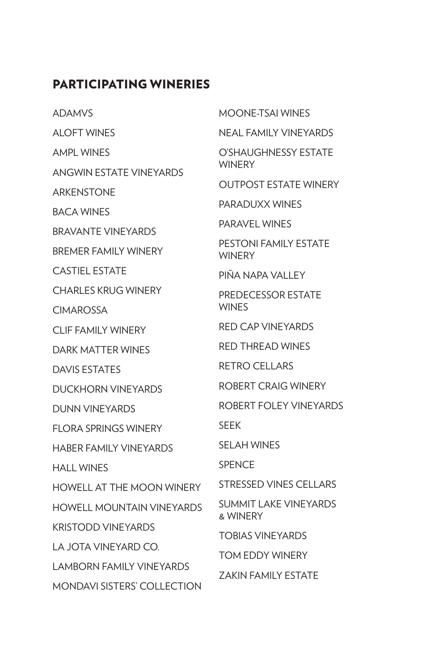#### PARTICIPATING WINERIES

- ADAMVS
- ALOFT WINES
- AMPL WINES
- ANGWIN ESTATE VINEYARDS
- ARKENSTONE
- BACA WINES
- BRAVANTE VINEYARDS
- BREMER FAMILY WINERY
- CASTIEL ESTATE
- CHARLES KRUG WINERY
- **CIMAROSSA**
- CLIF FAMILY WINERY
- DARK MATTER WINES
- DAVIS ESTATES
- DUCKHORN VINEYARDS
- DUNN VINEYARDS
- FLORA SPRINGS WINERY
- HABER FAMILY VINEYARDS
- HALL WINES
- HOWELL AT THE MOON WINERY
- HOWELL MOUNTAIN VINEYARDS
- KRISTODD VINEYARDS
- LA JOTA VINEYARD CO.
- LAMBORN FAMILY VINEYARDS
- MONDAVI SISTERS' COLLECTION
- MOONE-TSAI WINES NEAL FAMILY VINEYARDS O'SHAUGHNESSY ESTATE **WINFRY** OUTPOST ESTATE WINERY PARADUXX WINES PARAVEL WINES PESTONI FAMILY ESTATE WINERY PIÑA NAPA VALLEY PREDECESSOR ESTATE **WINFS** RED CAP VINEYARDS RED THREAD WINES RETRO CELLARS
- ROBERT CRAIG WINERY
- ROBERT FOLEY VINEYARDS
- SEEK
- SELAH WINES
- **SPENCE**
- STRESSED VINES CELLARS
- SUMMIT LAKE VINEYARDS & WINERY
- TOBIAS VINEYARDS
- TOM EDDY WINERY
- ZAKIN FAMILY ESTATE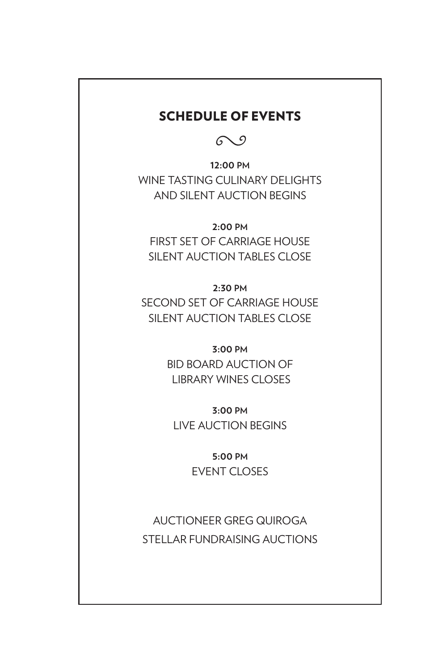#### SCHEDULE OF EVENTS

 $\mathcal{O}$ 

**12:00 PM** WINE TASTING CULINARY DELIGHTS AND SILENT AUCTION BEGINS

**2:00 PM** FIRST SET OF CARRIAGE HOUSE SILENT AUCTION TABLES CLOSE

**2:30 PM** SECOND SET OF CARRIAGE HOUSE SILENT AUCTION TABLES CLOSE

> **3:00 PM** BID BOARD AUCTION OF LIBRARY WINES CLOSES

**3:00 PM** LIVE AUCTION BEGINS

> **5:00 PM** EVENT CLOSES

AUCTIONEER GREG QUIROGA STELLAR FUNDRAISING AUCTIONS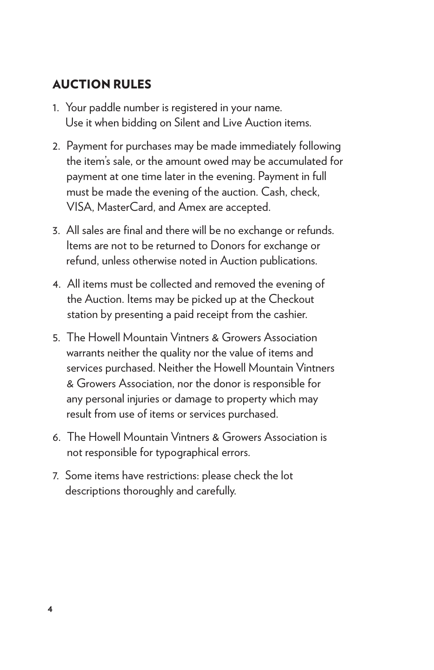#### AUCTION RULES

- 1. Your paddle number is registered in your name. Use it when bidding on Silent and Live Auction items.
- 2. Payment for purchases may be made immediately following the item's sale, or the amount owed may be accumulated for payment at one time later in the evening. Payment in full must be made the evening of the auction. Cash, check, VISA, MasterCard, and Amex are accepted.
- 3. All sales are final and there will be no exchange or refunds. Items are not to be returned to Donors for exchange or refund, unless otherwise noted in Auction publications.
- 4. All items must be collected and removed the evening of the Auction. Items may be picked up at the Checkout station by presenting a paid receipt from the cashier.
- 5. The Howell Mountain Vintners & Growers Association warrants neither the quality nor the value of items and services purchased. Neither the Howell Mountain Vintners & Growers Association, nor the donor is responsible for any personal injuries or damage to property which may result from use of items or services purchased.
- 6. The Howell Mountain Vintners & Growers Association is not responsible for typographical errors.
- 7. Some items have restrictions: please check the lot descriptions thoroughly and carefully.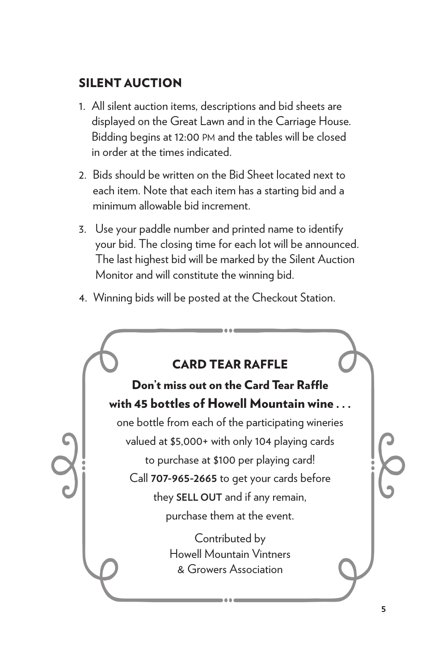#### SILENT AUCTION

- 1. All silent auction items, descriptions and bid sheets are displayed on the Great Lawn and in the Carriage House. Bidding begins at 12:00 pm and the tables will be closed in order at the times indicated.
- 2. Bids should be written on the Bid Sheet located next to each item. Note that each item has a starting bid and a minimum allowable bid increment.
- 3. Use your paddle number and printed name to identify your bid. The closing time for each lot will be announced. The last highest bid will be marked by the Silent Auction Monitor and will constitute the winning bid.
- 4. Winning bids will be posted at the Checkout Station.

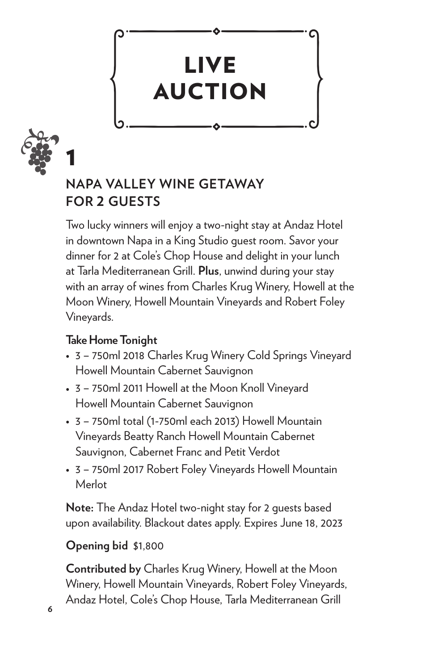



### **NAPA VALLEY WINE GETAWAY FOR 2 GUESTS**

Two lucky winners will enjoy a two-night stay at Andaz Hotel in downtown Napa in a King Studio guest room. Savor your dinner for 2 at Cole's Chop House and delight in your lunch at Tarla Mediterranean Grill. **Plus**, unwind during your stay with an array of wines from Charles Krug Winery, Howell at the Moon Winery, Howell Mountain Vineyards and Robert Foley Vineyards.

#### **Take Home Tonight**

- 3 750ml 2018 Charles Krug Winery Cold Springs Vineyard Howell Mountain Cabernet Sauvignon
- 3 750ml 2011 Howell at the Moon Knoll Vineyard Howell Mountain Cabernet Sauvignon
- 3 750ml total (1-750ml each 2013) Howell Mountain Vineyards Beatty Ranch Howell Mountain Cabernet Sauvignon, Cabernet Franc and Petit Verdot
- 3 750ml 2017 Robert Foley Vineyards Howell Mountain Merlot

**Note:** The Andaz Hotel two-night stay for 2 guests based upon availability. Blackout dates apply. Expires June 18, 2023

#### **Opening bid** \$1,800

**Contributed by** Charles Krug Winery, Howell at the Moon Winery, Howell Mountain Vineyards, Robert Foley Vineyards, Andaz Hotel, Cole's Chop House, Tarla Mediterranean Grill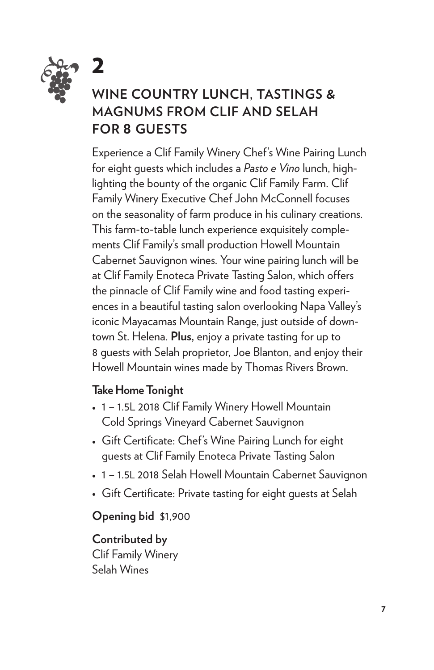![](_page_6_Picture_0.jpeg)

### **WINE COUNTRY LUNCH, TASTINGS & MAGNUMS FROM CLIF AND SELAH FOR 8 GUESTS**

Experience a Clif Family Winery Chef's Wine Pairing Lunch for eight guests which includes a *Pasto e Vino* lunch, highlighting the bounty of the organic Clif Family Farm. Clif Family Winery Executive Chef John McConnell focuses on the seasonality of farm produce in his culinary creations. This farm-to-table lunch experience exquisitely complements Clif Family's small production Howell Mountain Cabernet Sauvignon wines. Your wine pairing lunch will be at Clif Family Enoteca Private Tasting Salon, which offers the pinnacle of Clif Family wine and food tasting experiences in a beautiful tasting salon overlooking Napa Valley's iconic Mayacamas Mountain Range, just outside of downtown St. Helena. **Plus,** enjoy a private tasting for up to 8 guests with Selah proprietor, Joe Blanton, and enjoy their Howell Mountain wines made by Thomas Rivers Brown.

#### **Take Home Tonight**

- 1 1.5L 2018 Clif Family Winery Howell Mountain Cold Springs Vineyard Cabernet Sauvignon
- Gift Certificate: Chef's Wine Pairing Lunch for eight guests at Clif Family Enoteca Private Tasting Salon
- 1 1.5L 2018 Selah Howell Mountain Cabernet Sauvignon
- Gift Certificate: Private tasting for eight guests at Selah

#### **Opening bid** \$1,900

**Contributed by**  Clif Family Winery Selah Wines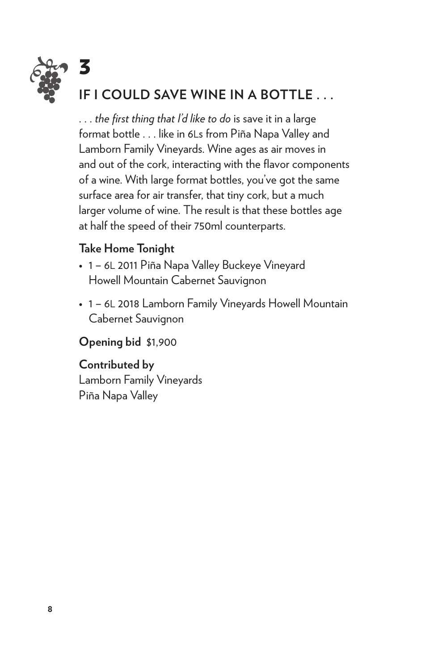![](_page_7_Picture_0.jpeg)

. . . *the first thing that I'd like to do* is save it in a large format bottle . . . like in 6Ls from Piña Napa Valley and Lamborn Family Vineyards. Wine ages as air moves in and out of the cork, interacting with the flavor components of a wine. With large format bottles, you've got the same surface area for air transfer, that tiny cork, but a much larger volume of wine. The result is that these bottles age at half the speed of their 750ml counterparts.

#### **Take Home Tonight**

- 1 6L 2011 Piña Napa Valley Buckeye Vineyard Howell Mountain Cabernet Sauvignon
- 1 6L 2018 Lamborn Family Vineyards Howell Mountain Cabernet Sauvignon

#### **Opening bid** \$1,900

#### **Contributed by**

Lamborn Family Vineyards Piña Napa Valley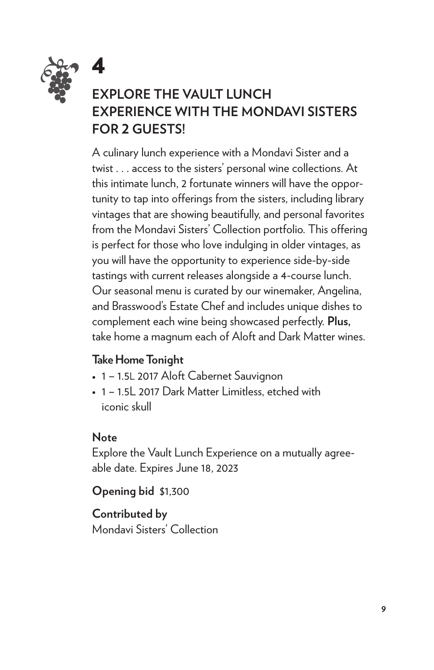![](_page_8_Picture_0.jpeg)

## **EXPLORE THE VAULT LUNCH EXPERIENCE WITH THE MONDAVI SISTERS FOR 2 GUESTS!**

A culinary lunch experience with a Mondavi Sister and a twist . . . access to the sisters' personal wine collections. At this intimate lunch, 2 fortunate winners will have the opportunity to tap into offerings from the sisters, including library vintages that are showing beautifully, and personal favorites from the Mondavi Sisters' Collection portfolio. This offering is perfect for those who love indulging in older vintages, as you will have the opportunity to experience side-by-side tastings with current releases alongside a 4-course lunch. Our seasonal menu is curated by our winemaker, Angelina, and Brasswood's Estate Chef and includes unique dishes to complement each wine being showcased perfectly. **Plus,** take home a magnum each of Aloft and Dark Matter wines.

#### **Take Home Tonight**

- 1 1.5L 2017 Aloft Cabernet Sauvignon
- 1 1.5L 2017 Dark Matter Limitless, etched with iconic skull

#### **Note**

Explore the Vault Lunch Experience on a mutually agreeable date. Expires June 18, 2023

**Opening bid** \$1,300

**Contributed by**  Mondavi Sisters' Collection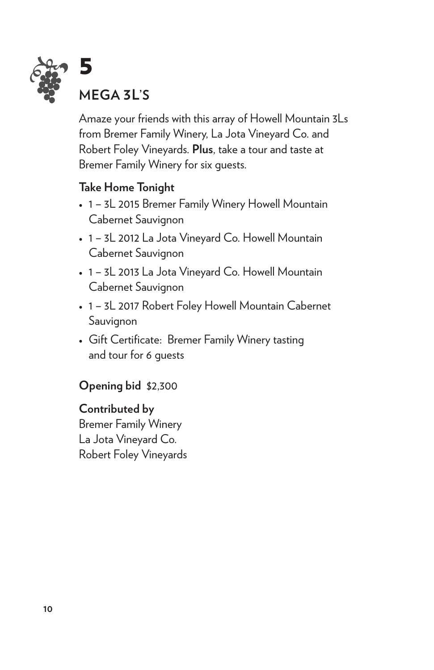![](_page_9_Picture_0.jpeg)

Amaze your friends with this array of Howell Mountain 3Ls from Bremer Family Winery, La Jota Vineyard Co. and Robert Foley Vineyards. **Plus**, take a tour and taste at Bremer Family Winery for six guests.

#### **Take Home Tonight**

- 1 3L 2015 Bremer Family Winery Howell Mountain Cabernet Sauvignon
- 1 3L 2012 La Jota Vineyard Co. Howell Mountain Cabernet Sauvignon
- 1 3L 2013 La Jota Vineyard Co. Howell Mountain Cabernet Sauvignon
- 1 3L 2017 Robert Foley Howell Mountain Cabernet Sauvignon
- Gift Certificate: Bremer Family Winery tasting and tour for 6 guests

#### **Opening bid** \$2,300

**Contributed by**  Bremer Family Winery La Jota Vineyard Co. Robert Foley Vineyards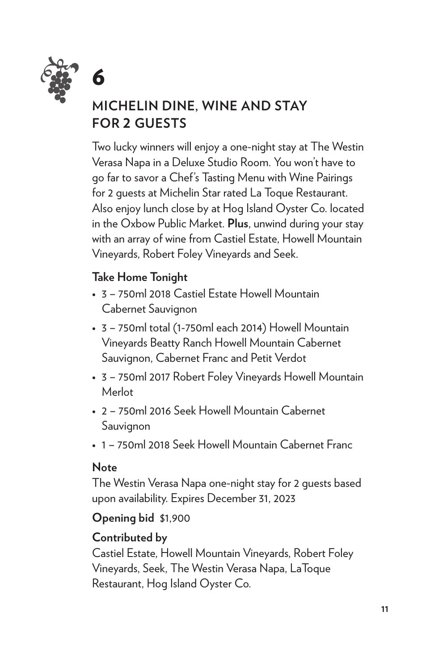![](_page_10_Picture_0.jpeg)

## **MICHELIN DINE, WINE AND STAY FOR 2 GUESTS**

Two lucky winners will enjoy a one-night stay at The Westin Verasa Napa in a Deluxe Studio Room. You won't have to go far to savor a Chef's Tasting Menu with Wine Pairings for 2 guests at Michelin Star rated La Toque Restaurant. Also enjoy lunch close by at Hog Island Oyster Co. located in the Oxbow Public Market. **Plus**, unwind during your stay with an array of wine from Castiel Estate, Howell Mountain Vineyards, Robert Foley Vineyards and Seek.

#### **Take Home Tonight**

- 3 750ml 2018 Castiel Estate Howell Mountain Cabernet Sauvignon
- 3 750ml total (1-750ml each 2014) Howell Mountain Vineyards Beatty Ranch Howell Mountain Cabernet Sauvignon, Cabernet Franc and Petit Verdot
- 3 750ml 2017 Robert Foley Vineyards Howell Mountain Merlot
- 2 750ml 2016 Seek Howell Mountain Cabernet Sauvignon
- 1 750ml 2018 Seek Howell Mountain Cabernet Franc

#### **Note**

The Westin Verasa Napa one-night stay for 2 guests based upon availability. Expires December 31, 2023

**Opening bid** \$1,900

#### **Contributed by**

Castiel Estate, Howell Mountain Vineyards, Robert Foley Vineyards, Seek, The Westin Verasa Napa, LaToque Restaurant, Hog Island Oyster Co.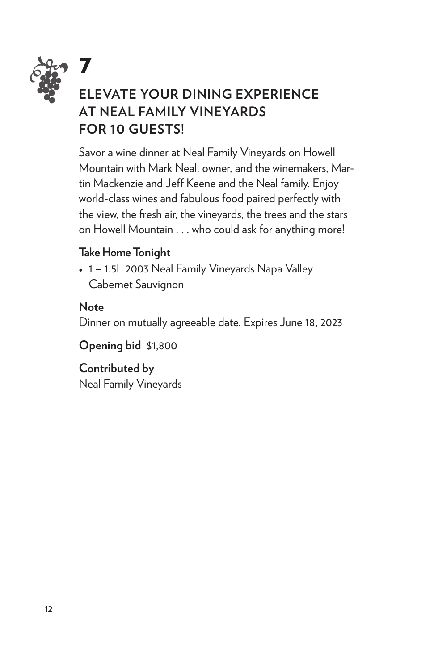![](_page_11_Picture_0.jpeg)

## *• •* **ELEVATE YOUR DINING EXPERIENCE AT NEAL FAMILY VINEYARDS FOR 10 GUESTS!**

Savor a wine dinner at Neal Family Vineyards on Howell Mountain with Mark Neal, owner, and the winemakers, Martin Mackenzie and Jeff Keene and the Neal family. Enjoy world-class wines and fabulous food paired perfectly with the view, the fresh air, the vineyards, the trees and the stars on Howell Mountain . . . who could ask for anything more!

#### **Take Home Tonight**

• 1 – 1.5L 2003 Neal Family Vineyards Napa Valley Cabernet Sauvignon

#### **Note**

Dinner on mutually agreeable date. Expires June 18, 2023

**Opening bid** \$1,800

## **Contributed by**

Neal Family Vineyards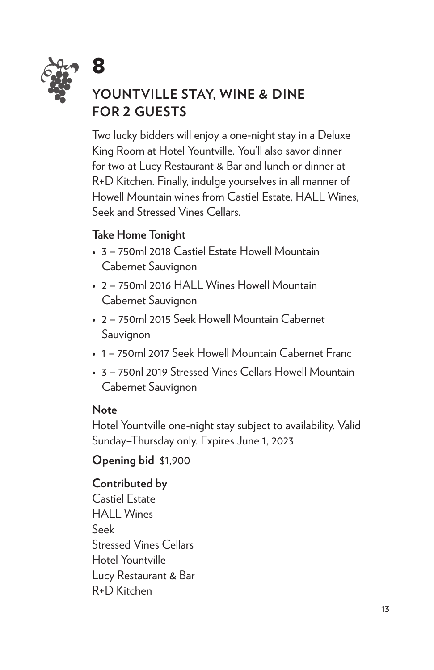![](_page_12_Picture_0.jpeg)

## **YOUNTVILLE STAY, WINE & DINE FOR 2 GUESTS**

Two lucky bidders will enjoy a one-night stay in a Deluxe King Room at Hotel Yountville. You'll also savor dinner for two at Lucy Restaurant & Bar and lunch or dinner at R+D Kitchen. Finally, indulge yourselves in all manner of Howell Mountain wines from Castiel Estate, HALL Wines, Seek and Stressed Vines Cellars.

#### **Take Home Tonight**

- 3 750ml 2018 Castiel Estate Howell Mountain Cabernet Sauvignon
- 2 750ml 2016 HALL Wines Howell Mountain Cabernet Sauvignon
- 2 750ml 2015 Seek Howell Mountain Cabernet Sauvignon
- 1 750ml 2017 Seek Howell Mountain Cabernet Franc
- 3 750nl 2019 Stressed Vines Cellars Howell Mountain Cabernet Sauvignon

#### **Note**

Hotel Yountville one-night stay subject to availability. Valid Sunday–Thursday only. Expires June 1, 2023

**Opening bid** \$1,900

#### **Contributed by**

Castiel Estate HALL Wines Seek Stressed Vines Cellars Hotel Yountville Lucy Restaurant & Bar R+D Kitchen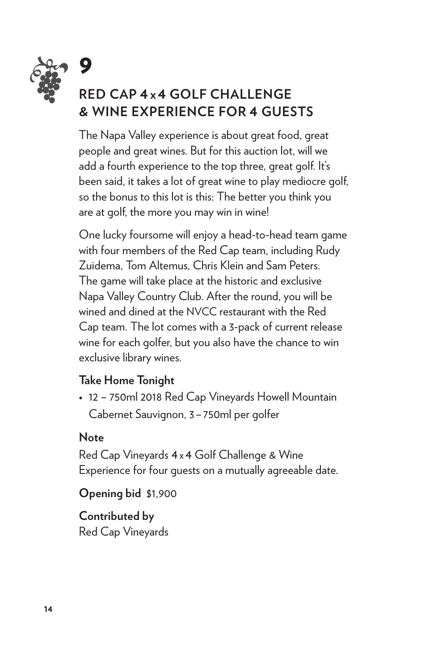![](_page_13_Picture_0.jpeg)

# *• •* **RED CAP 4 x 4 GOLF CHALLENGE & WINE EXPERIENCE FOR 4 GUESTS**

The Napa Valley experience is about great food, great people and great wines. But for this auction lot, will we add a fourth experience to the top three, great golf. It's been said, it takes a lot of great wine to play mediocre golf, so the bonus to this lot is this: The better you think you are at golf, the more you may win in wine!

One lucky foursome will enjoy a head-to-head team game with four members of the Red Cap team, including Rudy Zuidema, Tom Altemus, Chris Klein and Sam Peters. The game will take place at the historic and exclusive Napa Valley Country Club. After the round, you will be wined and dined at the NVCC restaurant with the Red Cap team. The lot comes with a 3-pack of current release wine for each golfer, but you also have the chance to win exclusive library wines.

#### **Take Home Tonight**

• 12 – 750ml 2018 Red Cap Vineyards Howell Mountain Cabernet Sauvignon, 3–750ml per golfer

#### **Note**

Red Cap Vineyards 4x4 Golf Challenge & Wine Experience for four guests on a mutually agreeable date.

**Opening bid** \$1,900

**Contributed by**  Red Cap Vineyards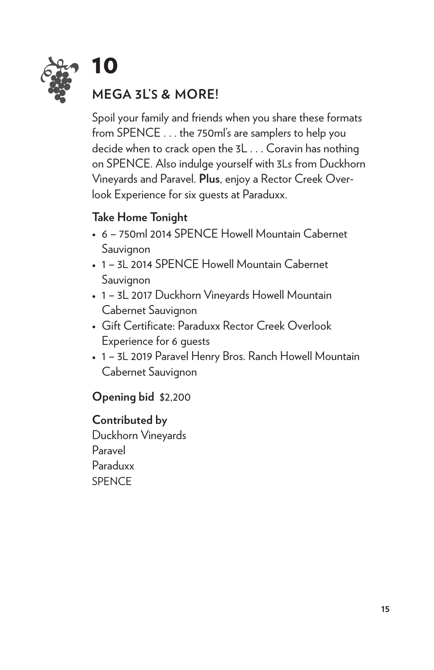![](_page_14_Picture_0.jpeg)

## **MEGA 3L'S & MORE!**

Spoil your family and friends when you share these formats from SPENCE . . . the 750ml's are samplers to help you decide when to crack open the 3L . . . Coravin has nothing on SPENCE. Also indulge yourself with 3Ls from Duckhorn Vineyards and Paravel. **Plus**, enjoy a Rector Creek Overlook Experience for six guests at Paraduxx.

#### **Take Home Tonight**

- 6 750ml 2014 SPENCE Howell Mountain Cabernet Sauvignon
- 1 3L 2014 SPENCE Howell Mountain Cabernet Sauvignon
- 1 3L 2017 Duckhorn Vineyards Howell Mountain Cabernet Sauvignon
- Gift Certificate: Paraduxx Rector Creek Overlook Experience for 6 guests
- 1 3L 2019 Paravel Henry Bros. Ranch Howell Mountain Cabernet Sauvignon

#### **Opening bid** \$2,200

#### **Contributed by**

Duckhorn Vineyards Paravel Paraduxx SPENCE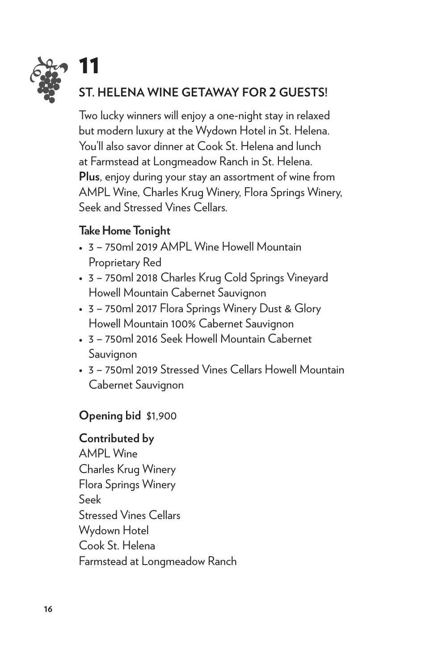![](_page_15_Picture_0.jpeg)

Two lucky winners will enjoy a one-night stay in relaxed but modern luxury at the Wydown Hotel in St. Helena. You'll also savor dinner at Cook St. Helena and lunch at Farmstead at Longmeadow Ranch in St. Helena. **Plus**, enjoy during your stay an assortment of wine from AMPL Wine, Charles Krug Winery, Flora Springs Winery, Seek and Stressed Vines Cellars.

#### **Take Home Tonight**

- 3 750ml 2019 AMPL Wine Howell Mountain Proprietary Red
- 3 750ml 2018 Charles Krug Cold Springs Vineyard Howell Mountain Cabernet Sauvignon
- 3 750ml 2017 Flora Springs Winery Dust & Glory Howell Mountain 100% Cabernet Sauvignon
- 3 750ml 2016 Seek Howell Mountain Cabernet Sauvignon
- 3 750ml 2019 Stressed Vines Cellars Howell Mountain Cabernet Sauvignon

#### **Opening bid** \$1,900

#### **Contributed by**

AMPL Wine Charles Krug Winery Flora Springs Winery Seek Stressed Vines Cellars Wydown Hotel Cook St. Helena Farmstead at Longmeadow Ranch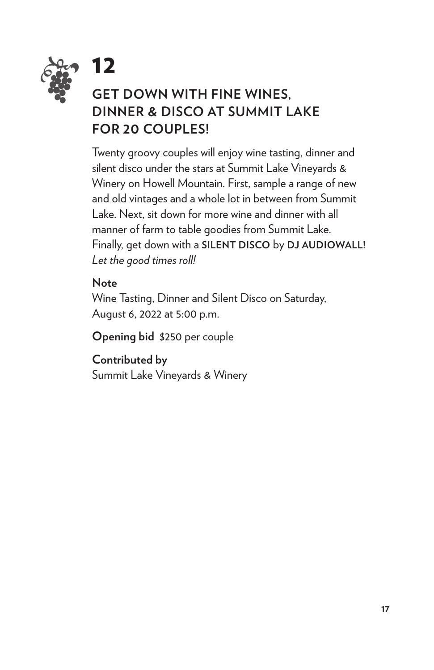![](_page_16_Picture_0.jpeg)

## **GET DOWN WITH FINE WINES, DINNER & DISCO AT SUMMIT LAKE FOR 20 COUPLES!**

Twenty groovy couples will enjoy wine tasting, dinner and silent disco under the stars at Summit Lake Vineyards & Winery on Howell Mountain. First, sample a range of new and old vintages and a whole lot in between from Summit Lake. Next, sit down for more wine and dinner with all manner of farm to table goodies from Summit Lake. Finally, get down with a **SILENT DISCO** by **DJ AUDIOWALL!**  *Let the good times roll!*

#### **Note**

12

Wine Tasting, Dinner and Silent Disco on Saturday, August 6, 2022 at 5:00 p.m.

**Opening bid** \$250 per couple

**Contributed by** Summit Lake Vineyards & Winery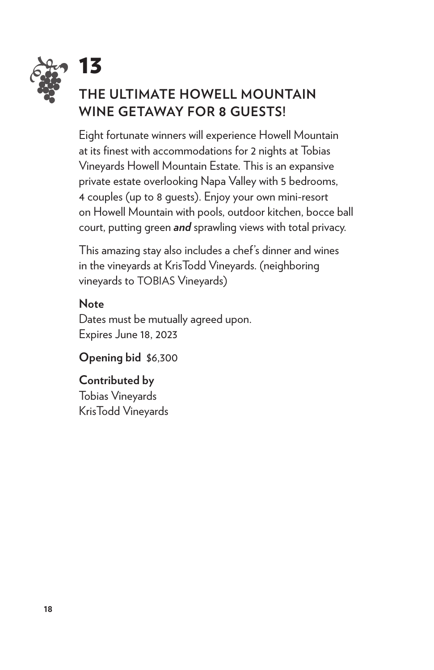![](_page_17_Picture_0.jpeg)

Eight fortunate winners will experience Howell Mountain at its finest with accommodations for 2 nights at Tobias Vineyards Howell Mountain Estate. This is an expansive private estate overlooking Napa Valley with 5 bedrooms, 4 couples (up to 8 guests). Enjoy your own mini-resort on Howell Mountain with pools, outdoor kitchen, bocce ball court, putting green *and* sprawling views with total privacy.

This amazing stay also includes a chef's dinner and wines in the vineyards at KrisTodd Vineyards. (neighboring vineyards to TOBIAS Vineyards)

#### **Note**

Dates must be mutually agreed upon. Expires June 18, 2023

**Opening bid** \$6,300

#### **Contributed by**

Tobias Vineyards KrisTodd Vineyards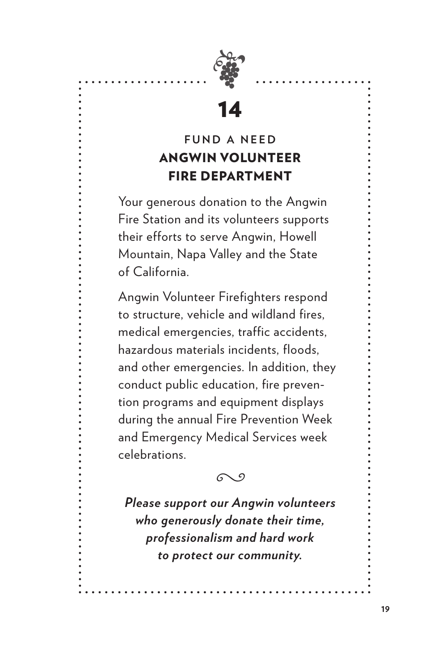![](_page_18_Picture_0.jpeg)

### **FUND A NEED** ANGWIN VOLUNTEER FIRE DEPARTMENT

Your generous donation to the Angwin Fire Station and its volunteers supports their efforts to serve Angwin, Howell Mountain, Napa Valley and the State of California.

Angwin Volunteer Firefighters respond to structure, vehicle and wildland fires, medical emergencies, traffic accidents, hazardous materials incidents, floods, and other emergencies. In addition, they conduct public education, fire prevention programs and equipment displays during the annual Fire Prevention Week and Emergency Medical Services week celebrations.

Å

*Please support our Angwin volunteers who generously donate their time, professionalism and hard work to protect our community.*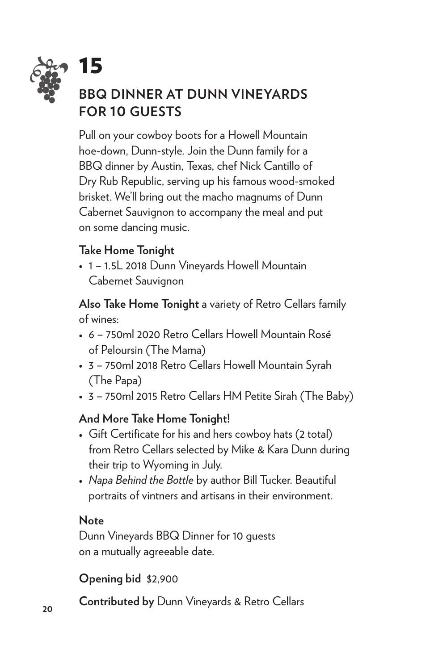![](_page_19_Picture_0.jpeg)

# **15**<br>**BBQ DINNER AT DUNN VINEYARDS FOR 10 GUESTS**

Pull on your cowboy boots for a Howell Mountain hoe-down, Dunn-style. Join the Dunn family for a BBQ dinner by Austin, Texas, chef Nick Cantillo of Dry Rub Republic, serving up his famous wood-smoked brisket. We'll bring out the macho magnums of Dunn Cabernet Sauvignon to accompany the meal and put on some dancing music.

#### **Take Home Tonight**

• 1 – 1.5L 2018 Dunn Vineyards Howell Mountain Cabernet Sauvignon

**Also Take Home Tonight** a variety of Retro Cellars family of wines:

- 6 750ml 2020 Retro Cellars Howell Mountain Rosé of Peloursin (The Mama)
- 3 750ml 2018 Retro Cellars Howell Mountain Syrah (The Papa)
- 3 750ml 2015 Retro Cellars HM Petite Sirah (The Baby)

#### **And More Take Home Tonight!**

- Gift Certificate for his and hers cowboy hats (2 total) from Retro Cellars selected by Mike & Kara Dunn during their trip to Wyoming in July.
- *Napa Behind the Bottle* by author Bill Tucker. Beautiful portraits of vintners and artisans in their environment.

#### **Note**

Dunn Vineyards BBQ Dinner for 10 guests on a mutually agreeable date.

**Opening bid** \$2,900

**Contributed by** Dunn Vineyards & Retro Cellars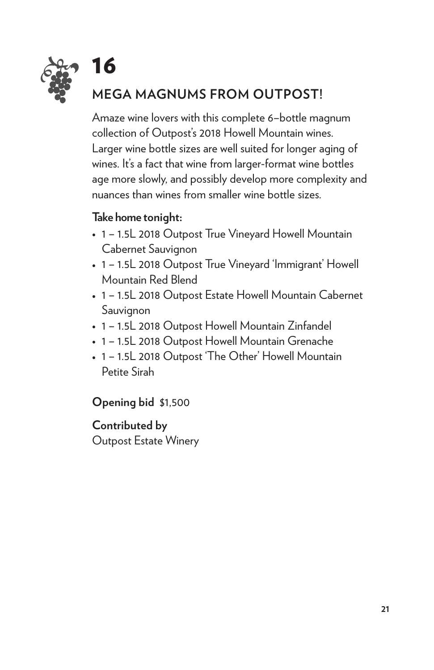![](_page_20_Picture_0.jpeg)

## **MEGA MAGNUMS FROM OUTPOST!**

Amaze wine lovers with this complete 6–bottle magnum collection of Outpost's 2018 Howell Mountain wines. Larger wine bottle sizes are well suited for longer aging of wines. It's a fact that wine from larger-format wine bottles age more slowly, and possibly develop more complexity and nuances than wines from smaller wine bottle sizes.

#### **Take home tonight:**

- 1 1.5L 2018 Outpost True Vineyard Howell Mountain Cabernet Sauvignon
- 1 1.5L 2018 Outpost True Vineyard 'Immigrant' Howell Mountain Red Blend
- 1 1.5L 2018 Outpost Estate Howell Mountain Cabernet Sauvignon
- 1 1.5L 2018 Outpost Howell Mountain Zinfandel
- 1 1.5L 2018 Outpost Howell Mountain Grenache
- 1 1.5L 2018 Outpost 'The Other' Howell Mountain Petite Sirah

#### **Opening bid** \$1,500

#### **Contributed by**

Outpost Estate Winery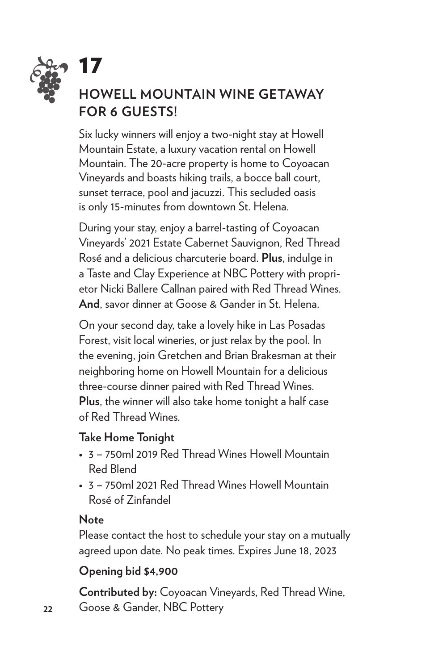![](_page_21_Picture_0.jpeg)

# *• •* **HOWELL MOUNTAIN WINE GETAWAY FOR 6 GUESTS!**

Six lucky winners will enjoy a two-night stay at Howell Mountain Estate, a luxury vacation rental on Howell Mountain. The 20-acre property is home to Coyoacan Vineyards and boasts hiking trails, a bocce ball court, sunset terrace, pool and jacuzzi. This secluded oasis is only 15-minutes from downtown St. Helena.

During your stay, enjoy a barrel-tasting of Coyoacan Vineyards' 2021 Estate Cabernet Sauvignon, Red Thread Rosé and a delicious charcuterie board. **Plus**, indulge in a Taste and Clay Experience at NBC Pottery with proprietor Nicki Ballere Callnan paired with Red Thread Wines. **And**, savor dinner at Goose & Gander in St. Helena.

On your second day, take a lovely hike in Las Posadas Forest, visit local wineries, or just relax by the pool. In the evening, join Gretchen and Brian Brakesman at their neighboring home on Howell Mountain for a delicious three-course dinner paired with Red Thread Wines. **Plus**, the winner will also take home tonight a half case of Red Thread Wines.

#### **Take Home Tonight**

- 3 750ml 2019 Red Thread Wines Howell Mountain Red Blend
- 3 750ml 2021 Red Thread Wines Howell Mountain Rosé of Zinfandel

#### **Note**

Please contact the host to schedule your stay on a mutually agreed upon date. No peak times. Expires June 18, 2023

#### **Opening bid \$4,900**

**Contributed by:** Coyoacan Vineyards, Red Thread Wine, Goose & Gander, NBC Pottery

**22**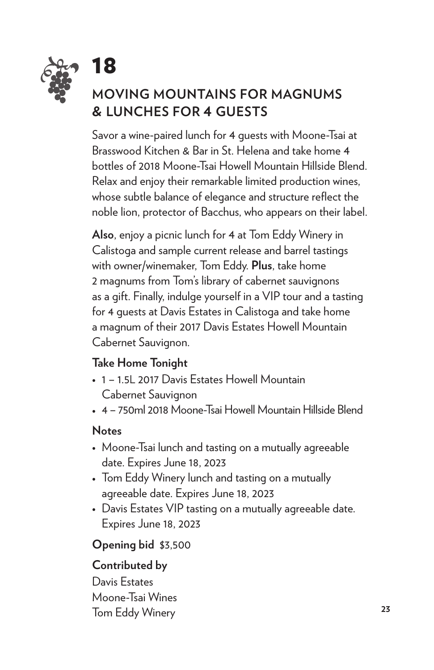![](_page_22_Picture_0.jpeg)

## **MOVING MOUNTAINS FOR MAGNUMS & LUNCHES FOR 4 GUESTS**

Savor a wine-paired lunch for 4 guests with Moone-Tsai at Brasswood Kitchen & Bar in St. Helena and take home 4 bottles of 2018 Moone-Tsai Howell Mountain Hillside Blend. Relax and enjoy their remarkable limited production wines, whose subtle balance of elegance and structure reflect the noble lion, protector of Bacchus, who appears on their label.

**Also**, enjoy a picnic lunch for 4 at Tom Eddy Winery in Calistoga and sample current release and barrel tastings with owner/winemaker, Tom Eddy. **Plus**, take home 2 magnums from Tom's library of cabernet sauvignons as a gift. Finally, indulge yourself in a VIP tour and a tasting for 4 guests at Davis Estates in Calistoga and take home a magnum of their 2017 Davis Estates Howell Mountain Cabernet Sauvignon.

#### **Take Home Tonight**

- 1 1.5L 2017 Davis Estates Howell Mountain Cabernet Sauvignon
- 4 750ml 2018 Moone-Tsai Howell Mountain Hillside Blend

#### **Notes**

- Moone-Tsai lunch and tasting on a mutually agreeable date. Expires June 18, 2023
- Tom Eddy Winery lunch and tasting on a mutually agreeable date. Expires June 18, 2023
- Davis Estates VIP tasting on a mutually agreeable date. Expires June 18, 2023

#### **Opening bid** \$3,500

#### **Contributed by**

Davis Estates Moone-Tsai Wines Tom Eddy Winery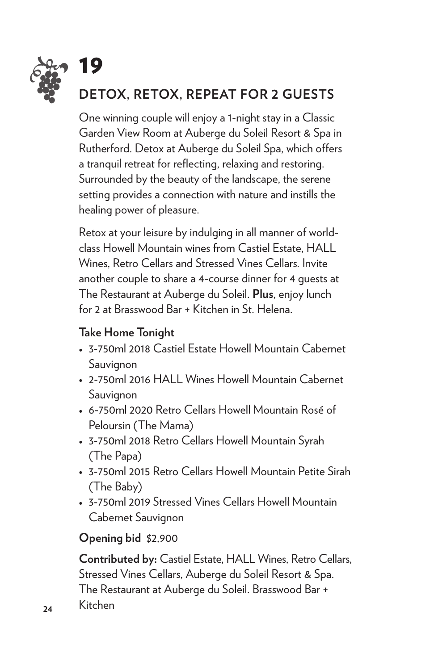![](_page_23_Picture_0.jpeg)

One winning couple will enjoy a 1-night stay in a Classic Garden View Room at Auberge du Soleil Resort & Spa in Rutherford. Detox at Auberge du Soleil Spa, which offers a tranquil retreat for reflecting, relaxing and restoring. Surrounded by the beauty of the landscape, the serene setting provides a connection with nature and instills the healing power of pleasure.

Retox at your leisure by indulging in all manner of worldclass Howell Mountain wines from Castiel Estate, HALL Wines, Retro Cellars and Stressed Vines Cellars. Invite another couple to share a 4-course dinner for 4 guests at The Restaurant at Auberge du Soleil. **Plus**, enjoy lunch for 2 at Brasswood Bar + Kitchen in St. Helena.

#### **Take Home Tonight**

- 3-750ml 2018 Castiel Estate Howell Mountain Cabernet Sauvignon
- 2-750ml 2016 HALL Wines Howell Mountain Cabernet Sauvignon
- 6-750ml 2020 Retro Cellars Howell Mountain Rosé of Peloursin (The Mama)
- 3-750ml 2018 Retro Cellars Howell Mountain Syrah (The Papa)
- 3-750ml 2015 Retro Cellars Howell Mountain Petite Sirah (The Baby)
- 3-750ml 2019 Stressed Vines Cellars Howell Mountain Cabernet Sauvignon

#### **Opening bid** \$2,900

**Contributed by:** Castiel Estate, HALL Wines, Retro Cellars, Stressed Vines Cellars, Auberge du Soleil Resort & Spa. The Restaurant at Auberge du Soleil. Brasswood Bar +

Kitchen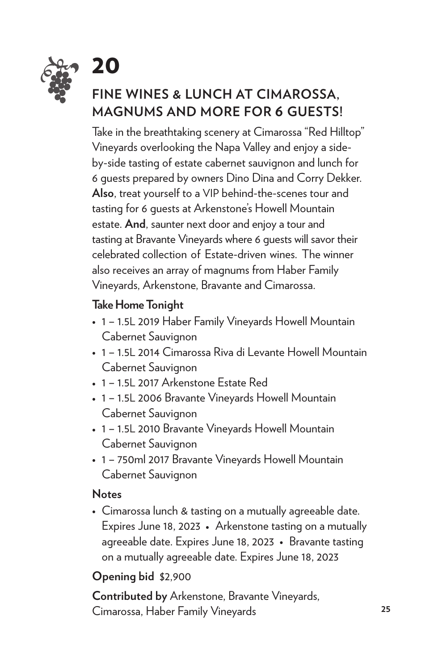![](_page_24_Picture_0.jpeg)

## **FINE WINES & LUNCH AT CIMAROSSA, MAGNUMS AND MORE FOR 6 GUESTS!**

Take in the breathtaking scenery at Cimarossa "Red Hilltop" Vineyards overlooking the Napa Valley and enjoy a sideby-side tasting of estate cabernet sauvignon and lunch for 6 guests prepared by owners Dino Dina and Corry Dekker. **Also**, treat yourself to a VIP behind-the-scenes tour and tasting for 6 guests at Arkenstone's Howell Mountain estate. **And**, saunter next door and enjoy a tour and tasting at Bravante Vineyards where 6 guests will savor their celebrated collection of Estate-driven wines. The winner also receives an array of magnums from Haber Family Vineyards, Arkenstone, Bravante and Cimarossa.

#### **Take Home Tonight**

- 1 1.5L 2019 Haber Family Vineyards Howell Mountain Cabernet Sauvignon
- 1 1.5L 2014 Cimarossa Riva di Levante Howell Mountain Cabernet Sauvignon
- 1 1.5L 2017 Arkenstone Estate Red
- 1 1.5L 2006 Bravante Vineyards Howell Mountain Cabernet Sauvignon
- 1 1.5L 2010 Bravante Vineyards Howell Mountain Cabernet Sauvignon
- 1 750ml 2017 Bravante Vineyards Howell Mountain Cabernet Sauvignon

#### **Notes**

• Cimarossa lunch & tasting on a mutually agreeable date. Expires June 18, 2023• Arkenstone tasting on a mutually agreeable date. Expires June 18, 2023 • Bravante tasting on a mutually agreeable date. Expires June 18, 2023

#### **Opening bid** \$2,900

**Contributed by** Arkenstone, Bravante Vineyards, Cimarossa, Haber Family Vineyards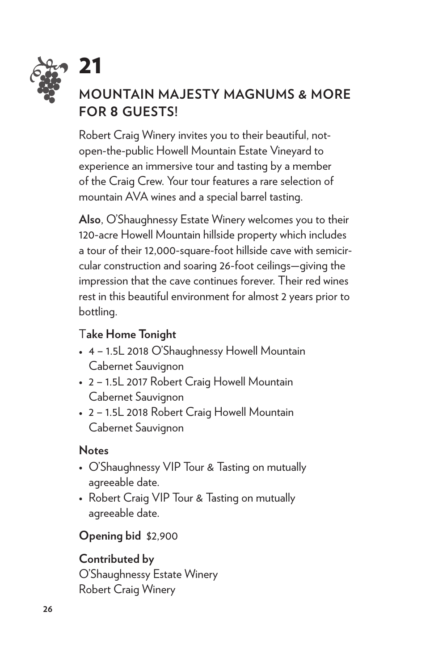![](_page_25_Picture_0.jpeg)

# **• 21**<br>MOUNTAIN MAJESTY MAGNUMS & MORE **FOR 8 GUESTS!**

Robert Craig Winery invites you to their beautiful, notopen-the-public Howell Mountain Estate Vineyard to experience an immersive tour and tasting by a member of the Craig Crew. Your tour features a rare selection of mountain AVA wines and a special barrel tasting.

**Also**, O'Shaughnessy Estate Winery welcomes you to their 120-acre Howell Mountain hillside property which includes a tour of their 12,000-square-foot hillside cave with semicircular construction and soaring 26-foot ceilings—giving the impression that the cave continues forever. Their red wines rest in this beautiful environment for almost 2 years prior to bottling.

#### T**ake Home Tonight**

- 4 1.5L 2018 O'Shaughnessy Howell Mountain Cabernet Sauvignon
- 2 1.5L 2017 Robert Craig Howell Mountain Cabernet Sauvignon
- 2 1.5L 2018 Robert Craig Howell Mountain Cabernet Sauvignon

#### **Notes**

- O'Shaughnessy VIP Tour & Tasting on mutually agreeable date.
- Robert Craig VIP Tour & Tasting on mutually agreeable date.

#### **Opening bid** \$2,900

#### **Contributed by**

O'Shaughnessy Estate Winery Robert Craig Winery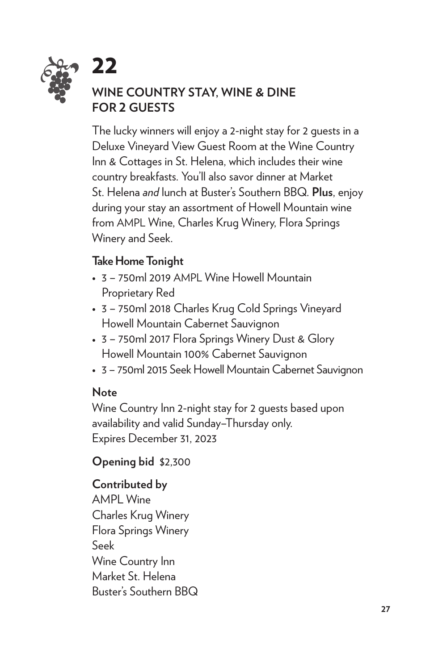![](_page_26_Picture_0.jpeg)

#### **WINE COUNTRY STAY, WINE & DINE FOR 2 GUESTS**

The lucky winners will enjoy a 2-night stay for 2 guests in a Deluxe Vineyard View Guest Room at the Wine Country Inn & Cottages in St. Helena, which includes their wine country breakfasts. You'll also savor dinner at Market St. Helena *and* lunch at Buster's Southern BBQ. **Plus**, enjoy during your stay an assortment of Howell Mountain wine from AMPL Wine, Charles Krug Winery, Flora Springs Winery and Seek.

#### **Take Home Tonight**

- 3 750ml 2019 AMPL Wine Howell Mountain Proprietary Red
- 3 750ml 2018 Charles Krug Cold Springs Vineyard Howell Mountain Cabernet Sauvignon
- 3 750ml 2017 Flora Springs Winery Dust & Glory Howell Mountain 100% Cabernet Sauvignon
- 3 750ml 2015 Seek Howell Mountain Cabernet Sauvignon

#### **Note**

Wine Country Inn 2-night stay for 2 guests based upon availability and valid Sunday–Thursday only. Expires December 31, 2023

**Opening bid** \$2,300

#### **Contributed by**

AMPL Wine Charles Krug Winery Flora Springs Winery Seek Wine Country Inn Market St. Helena Buster's Southern BBQ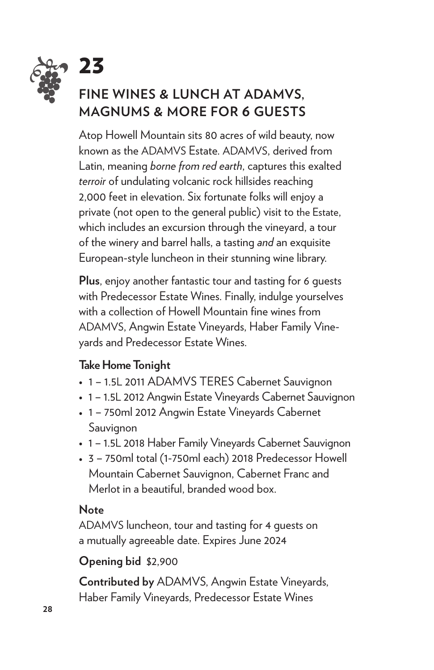![](_page_27_Picture_0.jpeg)

# **PART 23**<br>FINE WINES & LUNCH AT ADAMVS, **MAGNUMS & MORE FOR 6 GUESTS**

Atop Howell Mountain sits 80 acres of wild beauty, now known as the ADAMVS Estate. ADAMVS, derived from Latin, meaning *borne from red earth*, captures this exalted *terroir* of undulating volcanic rock hillsides reaching 2,000 feet in elevation. Six fortunate folks will enjoy a private (not open to the general public) visit to the Estate, which includes an excursion through the vineyard, a tour of the winery and barrel halls, a tasting *and* an exquisite European-style luncheon in their stunning wine library.

**Plus**, enjoy another fantastic tour and tasting for 6 guests with Predecessor Estate Wines. Finally, indulge yourselves with a collection of Howell Mountain fine wines from ADAMVS, Angwin Estate Vineyards, Haber Family Vineyards and Predecessor Estate Wines.

#### **Take Home Tonight**

- 1 1.5L 2011 ADAMVS TERES Cabernet Sauvignon
- 1 1.5L 2012 Angwin Estate Vineyards Cabernet Sauvignon
- 1 750ml 2012 Angwin Estate Vineyards Cabernet Sauvignon
- 1 1.5L 2018 Haber Family Vineyards Cabernet Sauvignon
- 3 750ml total (1-750ml each) 2018 Predecessor Howell Mountain Cabernet Sauvignon, Cabernet Franc and Merlot in a beautiful, branded wood box.

#### **Note**

ADAMVS luncheon, tour and tasting for 4 guests on a mutually agreeable date. Expires June 2024

#### **Opening bid** \$2,900

**Contributed by** ADAMVS, Angwin Estate Vineyards, Haber Family Vineyards, Predecessor Estate Wines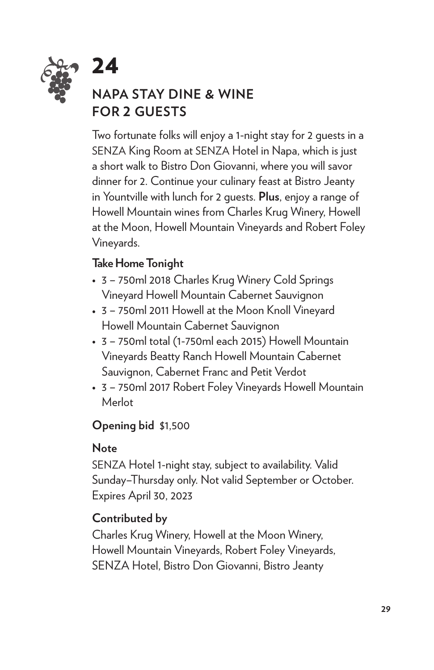![](_page_28_Picture_0.jpeg)

## **NAPA STAY DINE & WINE FOR 2 GUESTS**

Two fortunate folks will enjoy a 1-night stay for 2 guests in a SENZA King Room at SENZA Hotel in Napa, which is just a short walk to Bistro Don Giovanni, where you will savor dinner for 2. Continue your culinary feast at Bistro Jeanty in Yountville with lunch for 2 guests. **Plus**, enjoy a range of Howell Mountain wines from Charles Krug Winery, Howell at the Moon, Howell Mountain Vineyards and Robert Foley Vineyards.

#### **Take Home Tonight**

- 3 750ml 2018 Charles Krug Winery Cold Springs Vineyard Howell Mountain Cabernet Sauvignon
- 3 750ml 2011 Howell at the Moon Knoll Vineyard Howell Mountain Cabernet Sauvignon
- 3 750ml total (1-750ml each 2015) Howell Mountain Vineyards Beatty Ranch Howell Mountain Cabernet Sauvignon, Cabernet Franc and Petit Verdot
- 3 750ml 2017 Robert Foley Vineyards Howell Mountain Merlot

#### **Opening bid** \$1,500

#### **Note**

SENZA Hotel 1-night stay, subject to availability. Valid Sunday–Thursday only. Not valid September or October. Expires April 30, 2023

#### **Contributed by**

Charles Krug Winery, Howell at the Moon Winery, Howell Mountain Vineyards, Robert Foley Vineyards, SENZA Hotel, Bistro Don Giovanni, Bistro Jeanty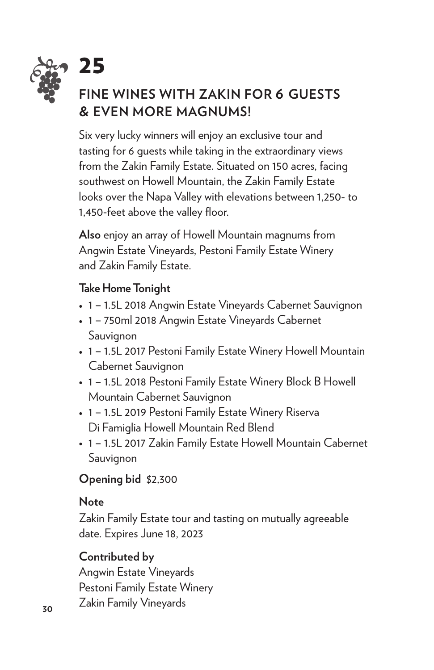![](_page_29_Picture_0.jpeg)

# **• 25**<br>FINE WINES WITH ZAKIN FOR 6 GUESTS **& EVEN MORE MAGNUMS!**

Six very lucky winners will enjoy an exclusive tour and tasting for 6 guests while taking in the extraordinary views from the Zakin Family Estate. Situated on 150 acres, facing southwest on Howell Mountain, the Zakin Family Estate looks over the Napa Valley with elevations between 1,250- to 1,450-feet above the valley floor.

**Also** enjoy an array of Howell Mountain magnums from Angwin Estate Vineyards, Pestoni Family Estate Winery and Zakin Family Estate.

#### **Take Home Tonight**

- 1 1.5L 2018 Angwin Estate Vineyards Cabernet Sauvignon
- 1 750ml 2018 Angwin Estate Vineyards Cabernet Sauvignon
- 1 1.5L 2017 Pestoni Family Estate Winery Howell Mountain Cabernet Sauvignon
- 1 1.5L 2018 Pestoni Family Estate Winery Block B Howell Mountain Cabernet Sauvignon
- 1 1.5L 2019 Pestoni Family Estate Winery Riserva Di Famiglia Howell Mountain Red Blend
- 1 1.5L 2017 Zakin Family Estate Howell Mountain Cabernet Sauvignon

#### **Opening bid** \$2,300

#### **Note**

Zakin Family Estate tour and tasting on mutually agreeable date. Expires June 18, 2023

#### **Contributed by**

Angwin Estate Vineyards Pestoni Family Estate Winery Zakin Family Vineyards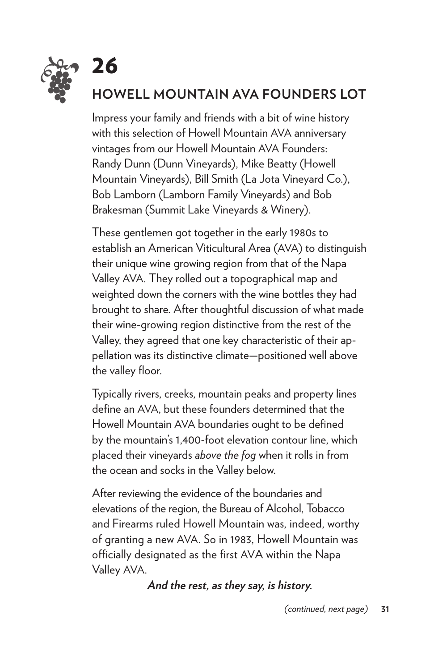![](_page_30_Picture_0.jpeg)

## 26 **HOWELL MOUNTAIN AVA FOUNDERS LOT**

Impress your family and friends with a bit of wine history with this selection of Howell Mountain AVA anniversary vintages from our Howell Mountain AVA Founders: Randy Dunn (Dunn Vineyards), Mike Beatty (Howell Mountain Vineyards), Bill Smith (La Jota Vineyard Co.), Bob Lamborn (Lamborn Family Vineyards) and Bob Brakesman (Summit Lake Vineyards & Winery).

These gentlemen got together in the early 1980s to establish an American Viticultural Area (AVA) to distinguish their unique wine growing region from that of the Napa Valley AVA. They rolled out a topographical map and weighted down the corners with the wine bottles they had brought to share. After thoughtful discussion of what made their wine-growing region distinctive from the rest of the Valley, they agreed that one key characteristic of their appellation was its distinctive climate—positioned well above the valley floor.

Typically rivers, creeks, mountain peaks and property lines define an AVA, but these founders determined that the Howell Mountain AVA boundaries ought to be defined by the mountain's 1,400-foot elevation contour line, which placed their vineyards *above the fog* when it rolls in from the ocean and socks in the Valley below.

After reviewing the evidence of the boundaries and elevations of the region, the Bureau of Alcohol, Tobacco and Firearms ruled Howell Mountain was, indeed, worthy of granting a new AVA. So in 1983, Howell Mountain was officially designated as the first AVA within the Napa Valley AVA.

#### *And the rest, as they say, is history.*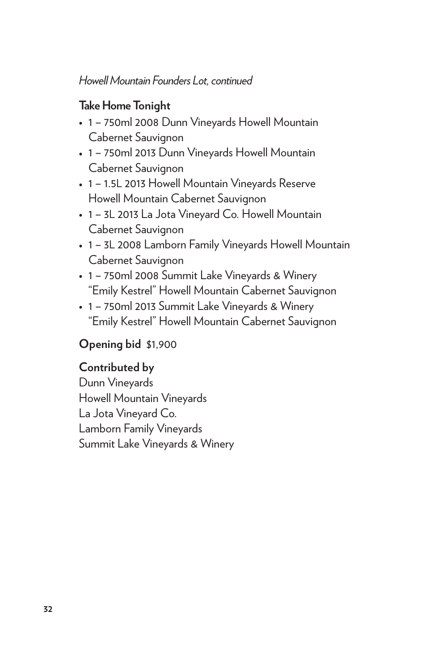#### *Howell Mountain Founders Lot, continued*

#### **Take Home Tonight**

- 1 750ml 2008 Dunn Vineyards Howell Mountain Cabernet Sauvignon
- 1 750ml 2013 Dunn Vineyards Howell Mountain Cabernet Sauvignon
- 1 1.5L 2013 Howell Mountain Vineyards Reserve Howell Mountain Cabernet Sauvignon
- 1 3L 2013 La Jota Vineyard Co. Howell Mountain Cabernet Sauvignon
- 1 3L 2008 Lamborn Family Vineyards Howell Mountain Cabernet Sauvignon
- 1 750ml 2008 Summit Lake Vineyards & Winery "Emily Kestrel" Howell Mountain Cabernet Sauvignon
- 1 750ml 2013 Summit Lake Vineyards & Winery "Emily Kestrel" Howell Mountain Cabernet Sauvignon

#### **Opening bid** \$1,900

#### **Contributed by**

Dunn Vineyards Howell Mountain Vineyards La Jota Vineyard Co. Lamborn Family Vineyards Summit Lake Vineyards & Winery